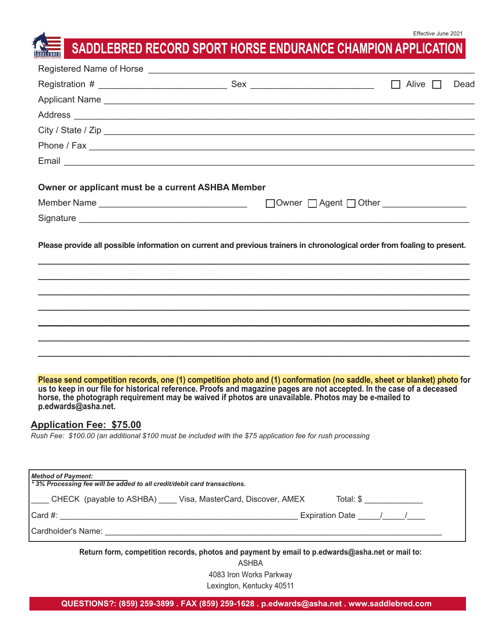## **SADDLEBRED RECORD SPORT HORSE ENDURANCE CHAMPION APPLICATION**

|                                                                         |                                                                                                                                                                                                                                                                                                                                                                                                                                                                         | Dead |
|-------------------------------------------------------------------------|-------------------------------------------------------------------------------------------------------------------------------------------------------------------------------------------------------------------------------------------------------------------------------------------------------------------------------------------------------------------------------------------------------------------------------------------------------------------------|------|
|                                                                         | Applicant Name experience and a series of the series of the series of the series of the series of the series of the series of the series of the series of the series of the series of the series of the series of the series o                                                                                                                                                                                                                                          |      |
|                                                                         |                                                                                                                                                                                                                                                                                                                                                                                                                                                                         |      |
|                                                                         | City / State / Zip                                                                                                                                                                                                                                                                                                                                                                                                                                                      |      |
|                                                                         |                                                                                                                                                                                                                                                                                                                                                                                                                                                                         |      |
|                                                                         |                                                                                                                                                                                                                                                                                                                                                                                                                                                                         |      |
| Owner or applicant must be a current ASHBA Member                       |                                                                                                                                                                                                                                                                                                                                                                                                                                                                         |      |
|                                                                         |                                                                                                                                                                                                                                                                                                                                                                                                                                                                         |      |
|                                                                         |                                                                                                                                                                                                                                                                                                                                                                                                                                                                         |      |
|                                                                         | Please provide all possible information on current and previous trainers in chronological order from foaling to present.                                                                                                                                                                                                                                                                                                                                                |      |
|                                                                         |                                                                                                                                                                                                                                                                                                                                                                                                                                                                         |      |
|                                                                         |                                                                                                                                                                                                                                                                                                                                                                                                                                                                         |      |
|                                                                         |                                                                                                                                                                                                                                                                                                                                                                                                                                                                         |      |
|                                                                         |                                                                                                                                                                                                                                                                                                                                                                                                                                                                         |      |
|                                                                         |                                                                                                                                                                                                                                                                                                                                                                                                                                                                         |      |
| p.edwards@asha.net.<br><b>Application Fee: \$75.00</b>                  | Please send competition records, one (1) competition photo and (1) conformation (no saddle, sheet or blanket) photo for<br>us to keep in our file for historical reference. Proofs and magazine pages are not accepted. In the case of a deceased<br>horse, the photograph requirement may be waived if photos are unavailable. Photos may be e-mailed to<br>Rush Fee: \$100.00 (an additional \$100 must be included with the \$75 application fee for rush processing |      |
| <b>Method of Payment:</b>                                               |                                                                                                                                                                                                                                                                                                                                                                                                                                                                         |      |
| *3% Processing fee will be added to all credit/debit card transactions. |                                                                                                                                                                                                                                                                                                                                                                                                                                                                         |      |
|                                                                         | ____ CHECK (payable to ASHBA) ____ Visa, MasterCard, Discover, AMEX _____ Total: \$ _____________                                                                                                                                                                                                                                                                                                                                                                       |      |
|                                                                         |                                                                                                                                                                                                                                                                                                                                                                                                                                                                         |      |
|                                                                         |                                                                                                                                                                                                                                                                                                                                                                                                                                                                         |      |
|                                                                         | Return form, competition records, photos and payment by email to p.edwards@asha.net or mail to:<br><b>ASHBA</b>                                                                                                                                                                                                                                                                                                                                                         |      |

4083 Iron Works Parkway

Lexington, Kentucky 40511